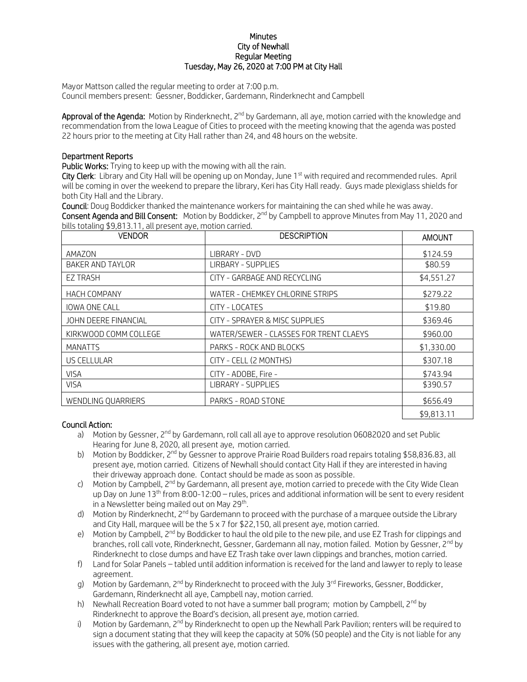## **Minutes** City of Newhall Regular Meeting Tuesday, May 26, 2020 at 7:00 PM at City Hall

Mayor Mattson called the regular meeting to order at 7:00 p.m. Council members present: Gessner, Boddicker, Gardemann, Rinderknecht and Campbell

Approval of the Agenda: Motion by Rinderknecht, 2<sup>nd</sup> by Gardemann, all aye, motion carried with the knowledge and recommendation from the Iowa League of Cities to proceed with the meeting knowing that the agenda was posted 22 hours prior to the meeting at City Hall rather than 24, and 48 hours on the website.

## Department Reports

Public Works: Trying to keep up with the mowing with all the rain.

City Clerk: Library and City Hall will be opening up on Monday, June 1<sup>st</sup> with required and recommended rules. April will be coming in over the weekend to prepare the library, Keri has City Hall ready. Guys made plexiglass shields for both City Hall and the Library.

Council: Doug Boddicker thanked the maintenance workers for maintaining the can shed while he was away. **Consent Agenda and Bill Consent:** Motion by Boddicker,  $2^{nd}$  by Campbell to approve Minutes from May 11, 2020 and bills totaling \$9,813.11, all present aye, motion carried.

| <b>VENDOR</b>           | <b>DESCRIPTION</b>                     | <b>AMOUNT</b> |
|-------------------------|----------------------------------------|---------------|
| AMAZON                  | LIBRARY - DVD                          | \$124.59      |
| <b>BAKER AND TAYLOR</b> | <b>LIRBARY - SUPPLIES</b>              | \$80.59       |
| <b>EZ TRASH</b>         | CITY - GARBAGE AND RECYCLING           | \$4,551.27    |
| <b>HACH COMPANY</b>     | WATER - CHEMKEY CHLORINE STRIPS        | \$279.22      |
| <b>IOWA ONE CALL</b>    | CITY - LOCATES                         | \$19.80       |
| JOHN DEERE FINANCIAL    | CITY - SPRAYER & MISC SUPPLIES         | \$369.46      |
| KIRKWOOD COMM COLLEGE   | WATER/SEWER - CLASSES FOR TRENT CLAEYS | \$960.00      |
| <b>MANATTS</b>          | PARKS - ROCK AND BLOCKS                | \$1,330.00    |
| US CELLULAR             | CITY - CELL (2 MONTHS)                 | \$307.18      |
| <b>VISA</b>             | CITY - ADOBE, Fire -                   | \$743.94      |
| <b>VISA</b>             | <b>LIBRARY - SUPPLIES</b>              | \$390.57      |
| WENDLING QUARRIERS      | PARKS - ROAD STONE                     | \$656.49      |
|                         |                                        | \$9,813.11    |

## Council Action:

- a) Motion by Gessner, 2<sup>nd</sup> by Gardemann, roll call all aye to approve resolution 06082020 and set Public Hearing for June 8, 2020, all present aye, motion carried.
- b) Motion by Boddicker, 2<sup>nd</sup> by Gessner to approve Prairie Road Builders road repairs totaling \$58,836.83, all present aye, motion carried. Citizens of Newhall should contact City Hall if they are interested in having their driveway approach done. Contact should be made as soon as possible.
- c) Motion by Campbell, 2<sup>nd</sup> by Gardemann, all present aye, motion carried to precede with the City Wide Clean up Day on June 13<sup>th</sup> from 8:00-12:00 – rules, prices and additional information will be sent to every resident in a Newsletter being mailed out on May 29<sup>th</sup>.
- d) Motion by Rinderknecht, 2<sup>nd</sup> by Gardemann to proceed with the purchase of a marquee outside the Librarv and City Hall, marquee will be the 5 x 7 for \$22,150, all present aye, motion carried.
- e) Motion by Campbell, 2<sup>nd</sup> by Boddicker to haul the old pile to the new pile, and use EZ Trash for clippings and branches, roll call vote, Rinderknecht, Gessner, Gardemann all nay, motion failed. Motion by Gessner, 2<sup>nd</sup> by Rinderknecht to close dumps and have EZ Trash take over lawn clippings and branches, motion carried.
- f) Land for Solar Panels tabled until addition information is received for the land and lawyer to reply to lease agreement.
- g) Motion by Gardemann, 2<sup>nd</sup> by Rinderknecht to proceed with the July 3<sup>rd</sup> Fireworks, Gessner, Boddicker, Gardemann, Rinderknecht all aye, Campbell nay, motion carried.
- h) Newhall Recreation Board voted to not have a summer ball program; motion by Campbell, 2<sup>nd</sup> by Rinderknecht to approve the Board's decision, all present aye, motion carried.
- i) Motion by Gardemann, 2<sup>nd</sup> by Rinderknecht to open up the Newhall Park Pavilion; renters will be required to sign a document stating that they will keep the capacity at 50% (50 people) and the City is not liable for any issues with the gathering, all present aye, motion carried.